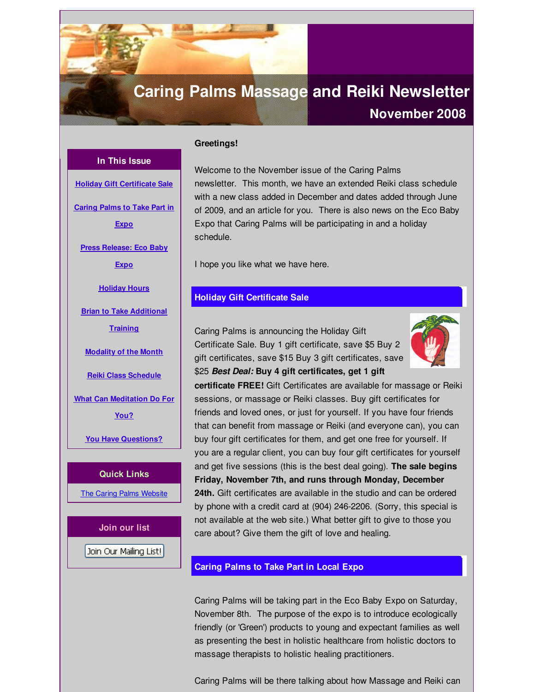# <span id="page-0-0"></span>**Caring Palms Massage and Reiki Newsletter**

# **November 2008**

# **In This Issue**

**Holiday Gift [Certificate](#page-0-0) Sale**

**[Caring](#page-0-0) Palms to Take Part in**

**Expo**

**Press [Release:](#page-0-0) Eco Baby**

**Expo**

**[Holiday](#page-0-0) Hours**

**Brian to Take [Additional](#page-0-0)**

**Training**

**[Modality](#page-0-0) of the Month**

**Reiki Class [Schedule](#page-0-0)**

**What Can [Meditation](#page-0-0) Do For**

**You?**

**You Have [Questions?](#page-0-0)**

**Quick Links** The Caring Palms [Website](http://r20.rs6.net/tn.jsp?f=001y1ltD-1ldJDzDiVwNHG-Es5HooYJqU2RTJRjSvwn_LiyjeQXwVNZuB126ykjyBGGvkmbwLmKAt-dBS9Sfs6eXX0PoLuMTJyQNlCmDjpuVyg1T4CzItCVNKiAstIKMq34s5LNC6tAaXO2wtMzMec4uxsMKPWRhy69W9tA9a6Xr-omIlonsiv_AA==&c=&ch=)

**Join our list**

Join Our Mailing List!

# **Greetings!**

Welcome to the November issue of the Caring Palms newsletter. This month, we have an extended Reiki class schedule with a new class added in December and dates added through June of 2009, and an article for you. There is also news on the Eco Baby Expo that Caring Palms will be participating in and a holiday schedule.

I hope you like what we have here.

# **Holiday Gift Certificate Sale**

Caring Palms is announcing the Holiday Gift Certificate Sale. Buy 1 gift certificate, save \$5 Buy 2 gift certificates, save \$15 Buy 3 gift certificates, save \$25 *Best Deal:* **Buy 4 gift certificates, get 1 gift**



**certificate FREE!** Gift Certificates are available for massage or Reiki sessions, or massage or Reiki classes. Buy gift certificates for friends and loved ones, or just for yourself. If you have four friends that can benefit from massage or Reiki (and everyone can), you can buy four gift certificates for them, and get one free for yourself. If you are a regular client, you can buy four gift certificates for yourself and get five sessions (this is the best deal going). **The sale begins Friday, November 7th, and runs through Monday, December 24th.** Gift certificates are available in the studio and can be ordered by phone with a credit card at (904) 246-2206. (Sorry, this special is not available at the web site.) What better gift to give to those you care about? Give them the gift of love and healing.

### **Caring Palms to Take Part in Local Expo**

Caring Palms will be taking part in the Eco Baby Expo on Saturday, November 8th. The purpose of the expo is to introduce ecologically friendly (or 'Green') products to young and expectant families as well as presenting the best in holistic healthcare from holistic doctors to massage therapists to holistic healing practitioners.

Caring Palms will be there talking about how Massage and Reiki can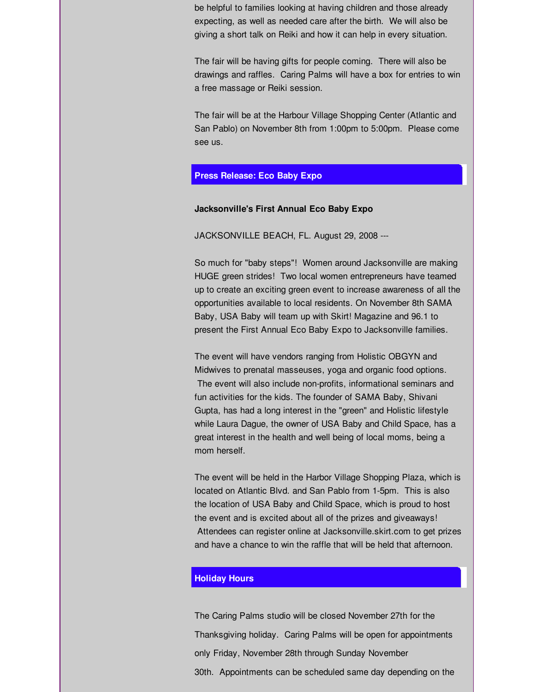be helpful to families looking at having children and those already expecting, as well as needed care after the birth. We will also be giving a short talk on Reiki and how it can help in every situation.

The fair will be having gifts for people coming. There will also be drawings and raffles. Caring Palms will have a box for entries to win a free massage or Reiki session.

The fair will be at the Harbour Village Shopping Center (Atlantic and San Pablo) on November 8th from 1:00pm to 5:00pm. Please come see us.

## **Press Release: Eco Baby Expo**

#### **Jacksonville's First Annual Eco Baby Expo**

JACKSONVILLE BEACH, FL. August 29, 2008 ---

So much for "baby steps"! Women around Jacksonville are making HUGE green strides! Two local women entrepreneurs have teamed up to create an exciting green event to increase awareness of all the opportunities available to local residents. On November 8th SAMA Baby, USA Baby will team up with Skirt! Magazine and 96.1 to present the First Annual Eco Baby Expo to Jacksonville families.

The event will have vendors ranging from Holistic OBGYN and Midwives to prenatal masseuses, yoga and organic food options. The event will also include non-profits, informational seminars and fun activities for the kids. The founder of SAMA Baby, Shivani Gupta, has had a long interest in the "green" and Holistic lifestyle while Laura Dague, the owner of USA Baby and Child Space, has a great interest in the health and well being of local moms, being a mom herself.

The event will be held in the Harbor Village Shopping Plaza, which is located on Atlantic Blvd. and San Pablo from 1-5pm. This is also the location of USA Baby and Child Space, which is proud to host the event and is excited about all of the prizes and giveaways! Attendees can register online at Jacksonville.skirt.com to get prizes and have a chance to win the raffle that will be held that afternoon.

## **Holiday Hours**

The Caring Palms studio will be closed November 27th for the Thanksgiving holiday. Caring Palms will be open for appointments only Friday, November 28th through Sunday November 30th. Appointments can be scheduled same day depending on the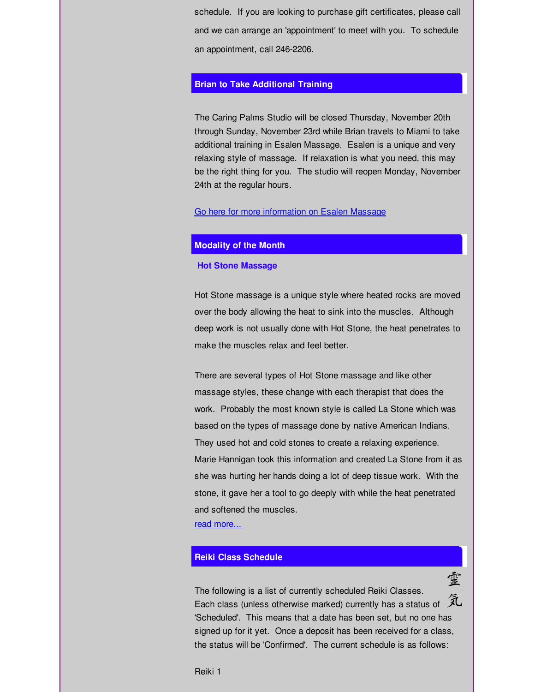schedule. If you are looking to purchase gift certificates, please call and we can arrange an 'appointment' to meet with you. To schedule an appointment, call 246-2206.

### **Brian to Take Additional Training**

The Caring Palms Studio will be closed Thursday, November 20th through Sunday, November 23rd while Brian travels to Miami to take additional training in Esalen Massage. Esalen is a unique and very relaxing style of massage. If relaxation is what you need, this may be the right thing for you. The studio will reopen Monday, November 24th at the regular hours.

#### Go here for more [information](http://r20.rs6.net/tn.jsp?f=001y1ltD-1ldJDzDiVwNHG-Es5HooYJqU2RTJRjSvwn_LiyjeQXwVNZuCll87yXc-eEmBkm37kuKxu4qrdB7-vi6PDrr7Ke1vG5JACeRd5oF1a6qwmbnNJinNgZdThP8qSX09qEKga52ugwgI_G7OHShIhtZpl4kJFLtRvAMIYOlA0_LAIRq2ln0oqisfO7t3dfNIMPEYw388pFjr-2xeDWaA==&c=&ch=) on Esalen Massage

#### **Modality of the Month**

#### **Hot Stone Massage**

Hot Stone massage is a unique style where heated rocks are moved over the body allowing the heat to sink into the muscles. Although deep work is not usually done with Hot Stone, the heat penetrates to make the muscles relax and feel better.

There are several types of Hot Stone massage and like other massage styles, these change with each therapist that does the work. Probably the most known style is called La Stone which was based on the types of massage done by native American Indians. They used hot and cold stones to create a relaxing experience. Marie Hannigan took this information and created La Stone from it as she was hurting her hands doing a lot of deep tissue work. With the stone, it gave her a tool to go deeply with while the heat penetrated and softened the muscles. read [more...](http://r20.rs6.net/tn.jsp?f=001y1ltD-1ldJDzDiVwNHG-Es5HooYJqU2RTJRjSvwn_LiyjeQXwVNZuFbP4GHBe5wNfmhSlDjI088oKPojFVvuO8xPUR1OBYU_nlF95YZ0XZeb3-ox4VowGxx6m9N91keIOLK9LXXJVxm3QqXasQeAIjvH_jOYJjhosgmSaK7t7-xiwgUj7QbeNVE23c69o9-SbifAOB4Bp6N2S02TexMomQ==&c=&ch=)

# **Reiki Class Schedule**

The following is a list of currently scheduled Reiki Classes. Each class (unless otherwise marked) currently has a status of  $\tilde{\mathcal{K}}$ 'Scheduled'. This means that a date has been set, but no one has signed up for it yet. Once a deposit has been received for a class, the status will be 'Confirmed'. The current schedule is as follows:

霊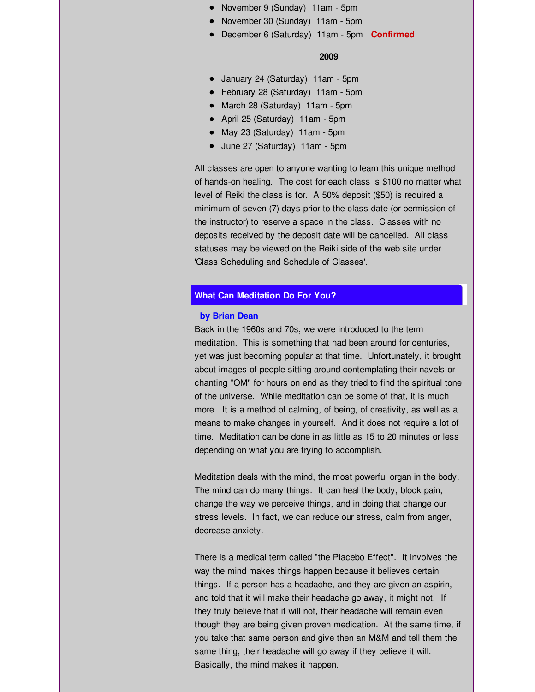- November 9 (Sunday) 11am 5pm
- November 30 (Sunday) 11am 5pm
- December 6 (Saturday) 11am 5pm **Confirmed**

#### **2009**

- January 24 (Saturday) 11am 5pm
- February 28 (Saturday) 11am 5pm
- March 28 (Saturday) 11am 5pm
- April 25 (Saturday) 11am 5pm
- May 23 (Saturday) 11am 5pm
- June 27 (Saturday) 11am 5pm

All classes are open to anyone wanting to learn this unique method of hands-on healing. The cost for each class is \$100 no matter what level of Reiki the class is for. A 50% deposit (\$50) is required a minimum of seven (7) days prior to the class date (or permission of the instructor) to reserve a space in the class. Classes with no deposits received by the deposit date will be cancelled. All class statuses may be viewed on the Reiki side of the web site under 'Class Scheduling and Schedule of Classes'.

## **What Can Meditation Do For You?**

#### **by Brian Dean**

Back in the 1960s and 70s, we were introduced to the term meditation. This is something that had been around for centuries, yet was just becoming popular at that time. Unfortunately, it brought about images of people sitting around contemplating their navels or chanting "OM" for hours on end as they tried to find the spiritual tone of the universe. While meditation can be some of that, it is much more. It is a method of calming, of being, of creativity, as well as a means to make changes in yourself. And it does not require a lot of time. Meditation can be done in as little as 15 to 20 minutes or less depending on what you are trying to accomplish.

Meditation deals with the mind, the most powerful organ in the body. The mind can do many things. It can heal the body, block pain, change the way we perceive things, and in doing that change our stress levels. In fact, we can reduce our stress, calm from anger, decrease anxiety.

There is a medical term called "the Placebo Effect". It involves the way the mind makes things happen because it believes certain things. If a person has a headache, and they are given an aspirin, and told that it will make their headache go away, it might not. If they truly believe that it will not, their headache will remain even though they are being given proven medication. At the same time, if you take that same person and give then an M&M and tell them the same thing, their headache will go away if they believe it will. Basically, the mind makes it happen.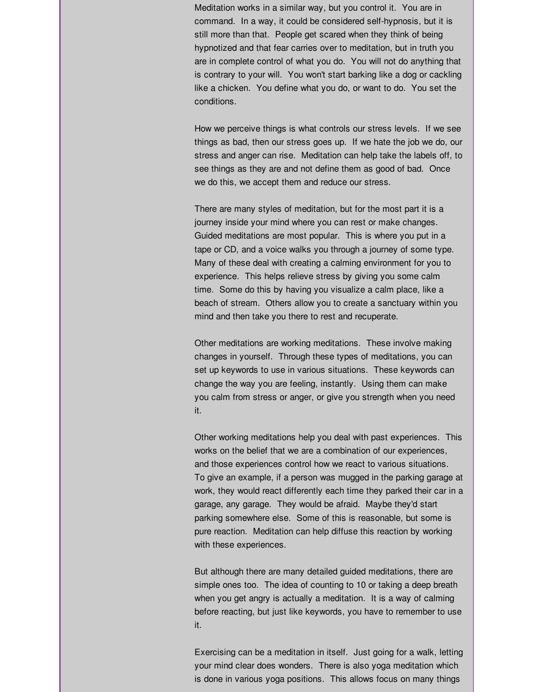Meditation works in a similar way, but you control it. You are in command. In a way, it could be considered self-hypnosis, but it is still more than that. People get scared when they think of being hypnotized and that fear carries over to meditation, but in truth you are in complete control of what you do. You will not do anything that is contrary to your will. You won't start barking like a dog or cackling like a chicken. You define what you do, or want to do. You set the conditions.

How we perceive things is what controls our stress levels. If we see things as bad, then our stress goes up. If we hate the job we do, our stress and anger can rise. Meditation can help take the labels off, to see things as they are and not define them as good of bad. Once we do this, we accept them and reduce our stress.

There are many styles of meditation, but for the most part it is a journey inside your mind where you can rest or make changes. Guided meditations are most popular. This is where you put in a tape or CD, and a voice walks you through a journey of some type. Many of these deal with creating a calming environment for you to experience. This helps relieve stress by giving you some calm time. Some do this by having you visualize a calm place, like a beach of stream. Others allow you to create a sanctuary within you mind and then take you there to rest and recuperate.

Other meditations are working meditations. These involve making changes in yourself. Through these types of meditations, you can set up keywords to use in various situations. These keywords can change the way you are feeling, instantly. Using them can make you calm from stress or anger, or give you strength when you need it.

Other working meditations help you deal with past experiences. This works on the belief that we are a combination of our experiences, and those experiences control how we react to various situations. To give an example, if a person was mugged in the parking garage at work, they would react differently each time they parked their car in a garage, any garage. They would be afraid. Maybe they'd start parking somewhere else. Some of this is reasonable, but some is pure reaction. Meditation can help diffuse this reaction by working with these experiences.

But although there are many detailed guided meditations, there are simple ones too. The idea of counting to 10 or taking a deep breath when you get angry is actually a meditation. It is a way of calming before reacting, but just like keywords, you have to remember to use it.

Exercising can be a meditation in itself. Just going for a walk, letting your mind clear does wonders. There is also yoga meditation which is done in various yoga positions. This allows focus on many things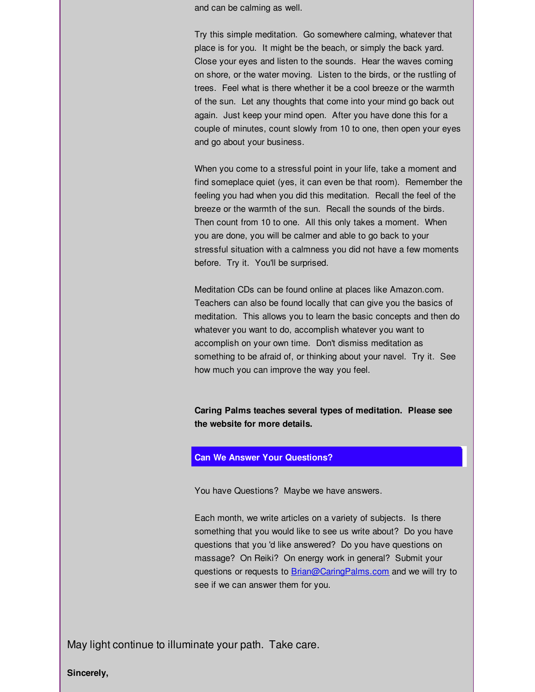and can be calming as well.

Try this simple meditation. Go somewhere calming, whatever that place is for you. It might be the beach, or simply the back yard. Close your eyes and listen to the sounds. Hear the waves coming on shore, or the water moving. Listen to the birds, or the rustling of trees. Feel what is there whether it be a cool breeze or the warmth of the sun. Let any thoughts that come into your mind go back out again. Just keep your mind open. After you have done this for a couple of minutes, count slowly from 10 to one, then open your eyes and go about your business.

When you come to a stressful point in your life, take a moment and find someplace quiet (yes, it can even be that room). Remember the feeling you had when you did this meditation. Recall the feel of the breeze or the warmth of the sun. Recall the sounds of the birds. Then count from 10 to one. All this only takes a moment. When you are done, you will be calmer and able to go back to your stressful situation with a calmness you did not have a few moments before. Try it. You'll be surprised.

Meditation CDs can be found online at places like Amazon.com. Teachers can also be found locally that can give you the basics of meditation. This allows you to learn the basic concepts and then do whatever you want to do, accomplish whatever you want to accomplish on your own time. Don't dismiss meditation as something to be afraid of, or thinking about your navel. Try it. See how much you can improve the way you feel.

**Caring Palms teaches several types of meditation. Please see the website for more details.**

### **Can We Answer Your Questions?**

You have Questions? Maybe we have answers.

Each month, we write articles on a variety of subjects. Is there something that you would like to see us write about? Do you have questions that you 'd like answered? Do you have questions on massage? On Reiki? On energy work in general? Submit your questions or requests to **[Brian@CaringPalms.com](mailto:Brian@CaringPalms.com)** and we will try to see if we can answer them for you.

May light continue to illuminate your path. Take care.

**Sincerely,**